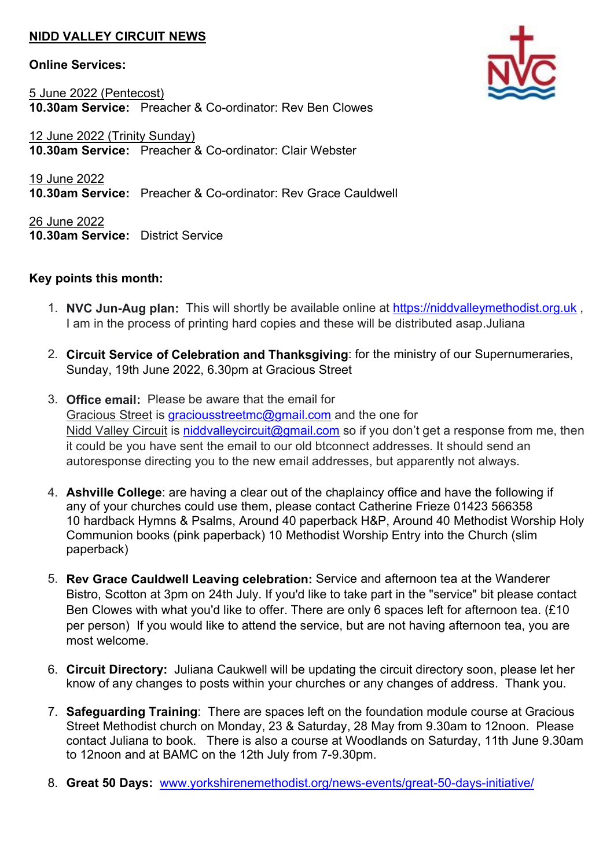## NIDD VALLEY CIRCUIT NEWS

## Online Services:

5 June 2022 (Pentecost) 10.30am Service: Preacher & Co-ordinator: Rev Ben Clowes

12 June 2022 (Trinity Sunday) 10.30am Service: Preacher & Co-ordinator: Clair Webster

19 June 2022 10.30am Service: Preacher & Co-ordinator: Rev Grace Cauldwell

26 June 2022 10.30am Service: District Service

## Key points this month:

- 1. NVC Jun-Aug plan: This will shortly be available online at https://niddvalleymethodist.org.uk, I am in the process of printing hard copies and these will be distributed asap.Juliana
- 2. Circuit Service of Celebration and Thanksgiving: for the ministry of our Supernumeraries, Sunday, 19th June 2022, 6.30pm at Gracious Street
- 3. Office email: Please be aware that the email for Gracious Street is graciousstreetmc@gmail.com and the one for Nidd Valley Circuit is niddvalleycircuit@gmail.com so if you don't get a response from me, then it could be you have sent the email to our old btconnect addresses. It should send an autoresponse directing you to the new email addresses, but apparently not always.
- 4. Ashville College: are having a clear out of the chaplaincy office and have the following if any of your churches could use them, please contact Catherine Frieze 01423 566358 10 hardback Hymns & Psalms, Around 40 paperback H&P, Around 40 Methodist Worship Holy Communion books (pink paperback) 10 Methodist Worship Entry into the Church (slim paperback)
- 5. Rev Grace Cauldwell Leaving celebration: Service and afternoon tea at the Wanderer Bistro, Scotton at 3pm on 24th July. If you'd like to take part in the "service" bit please contact Ben Clowes with what you'd like to offer. There are only 6 spaces left for afternoon tea. (£10 per person) If you would like to attend the service, but are not having afternoon tea, you are most welcome.
- 6. Circuit Directory: Juliana Caukwell will be updating the circuit directory soon, please let her know of any changes to posts within your churches or any changes of address. Thank you.
- 7. Safeguarding Training: There are spaces left on the foundation module course at Gracious Street Methodist church on Monday, 23 & Saturday, 28 May from 9.30am to 12noon. Please contact Juliana to book. There is also a course at Woodlands on Saturday, 11th June 9.30am to 12noon and at BAMC on the 12th July from 7-9.30pm.
- 8. Great 50 Days: www.yorkshirenemethodist.org/news-events/great-50-days-initiative/

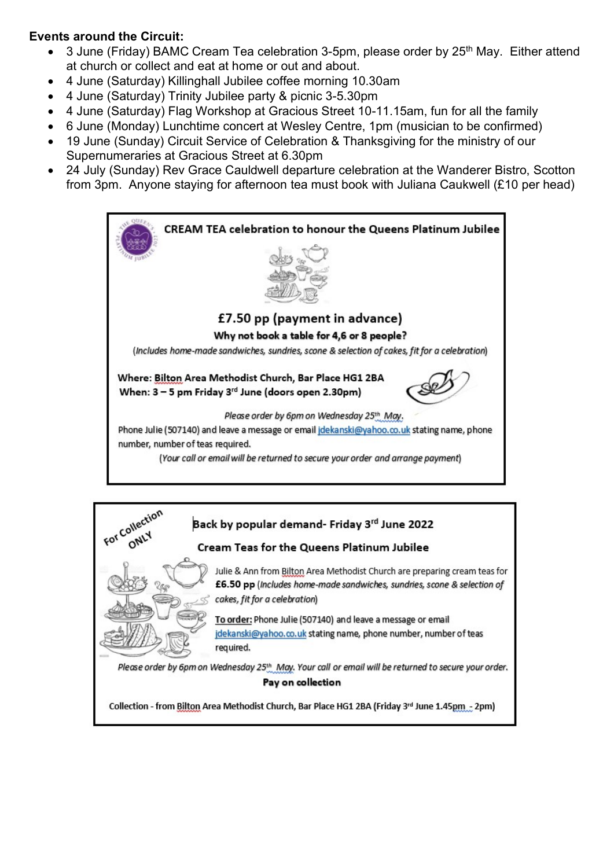## Events around the Circuit:

- 3 June (Friday) BAMC Cream Tea celebration 3-5pm, please order by 25<sup>th</sup> May. Either attend at church or collect and eat at home or out and about.
- 4 June (Saturday) Killinghall Jubilee coffee morning 10.30am
- 4 June (Saturday) Trinity Jubilee party & picnic 3-5.30pm
- 4 June (Saturday) Flag Workshop at Gracious Street 10-11.15am, fun for all the family
- 6 June (Monday) Lunchtime concert at Wesley Centre, 1pm (musician to be confirmed)
- 19 June (Sunday) Circuit Service of Celebration & Thanksgiving for the ministry of our Supernumeraries at Gracious Street at 6.30pm
- 24 July (Sunday) Rev Grace Cauldwell departure celebration at the Wanderer Bistro, Scotton from 3pm. Anyone staying for afternoon tea must book with Juliana Caukwell (£10 per head)